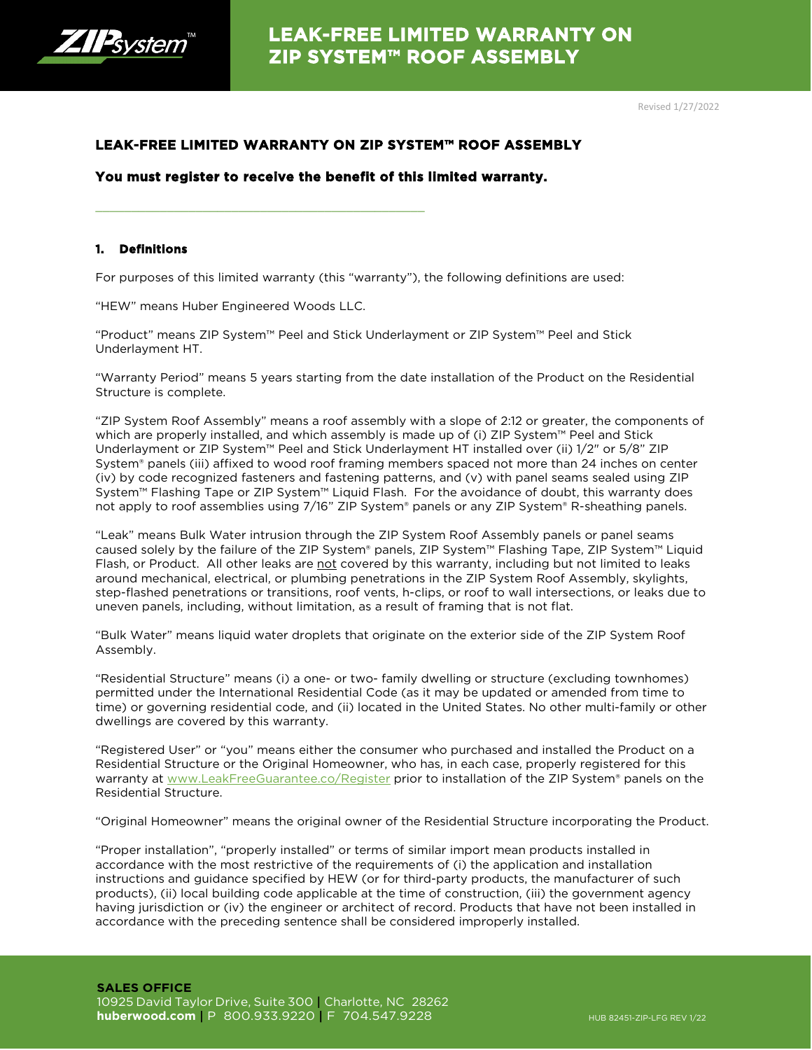

## **LEAK-FREE LIMITED WARRANTY ON ZIP SYSTEM™ ROOF ASSEMBLY**

## **You must register to receive the benefit of this limited warranty.**

\_\_\_\_\_\_\_\_\_\_\_\_\_\_\_\_\_\_\_\_\_\_\_\_\_\_\_\_\_\_\_\_\_\_\_\_\_\_\_\_\_\_\_\_\_\_

## **1. Definitions**

For purposes of this limited warranty (this "warranty"), the following definitions are used:

"HEW" means Huber Engineered Woods LLC.

"Product" means ZIP System™ Peel and Stick Underlayment or ZIP System™ Peel and Stick Underlayment HT.

"Warranty Period" means 5 years starting from the date installation of the Product on the Residential Structure is complete.

"ZIP System Roof Assembly" means a roof assembly with a slope of 2:12 or greater, the components of which are properly installed, and which assembly is made up of (i) ZIP System™ Peel and Stick Underlayment or ZIP System™ Peel and Stick Underlayment HT installed over (ii) 1/2" or 5/8" ZIP System® panels (iii) affixed to wood roof framing members spaced not more than 24 inches on center (iv) by code recognized fasteners and fastening patterns, and (v) with panel seams sealed using ZIP System™ Flashing Tape or ZIP System™ Liquid Flash. For the avoidance of doubt, this warranty does not apply to roof assemblies using 7/16" ZIP System® panels or any ZIP System® R-sheathing panels.

"Leak" means Bulk Water intrusion through the ZIP System Roof Assembly panels or panel seams caused solely by the failure of the ZIP System® panels, ZIP System™ Flashing Tape, ZIP System™ Liquid Flash, or Product. All other leaks are not covered by this warranty, including but not limited to leaks around mechanical, electrical, or plumbing penetrations in the ZIP System Roof Assembly, skylights, step-flashed penetrations or transitions, roof vents, h-clips, or roof to wall intersections, or leaks due to uneven panels, including, without limitation, as a result of framing that is not flat.

"Bulk Water" means liquid water droplets that originate on the exterior side of the ZIP System Roof Assembly.

"Residential Structure" means (i) a one- or two- family dwelling or structure (excluding townhomes) permitted under the International Residential Code (as it may be updated or amended from time to time) or governing residential code, and (ii) located in the United States. No other multi-family or other dwellings are covered by this warranty.

"Registered User" or "you" means either the consumer who purchased and installed the Product on a Residential Structure or the Original Homeowner, who has, in each case, properly registered for this warranty at [www.LeakFreeGuarantee.co/Register](http://www.huberwood.com/register-your-build) prior to installation of the ZIP System® panels on the Residential Structure.

"Original Homeowner" means the original owner of the Residential Structure incorporating the Product.

"Proper installation", "properly installed" or terms of similar import mean products installed in accordance with the most restrictive of the requirements of (i) the application and installation instructions and guidance specified by HEW (or for third-party products, the manufacturer of such products), (ii) local building code applicable at the time of construction, (iii) the government agency having jurisdiction or (iv) the engineer or architect of record. Products that have not been installed in accordance with the preceding sentence shall be considered improperly installed.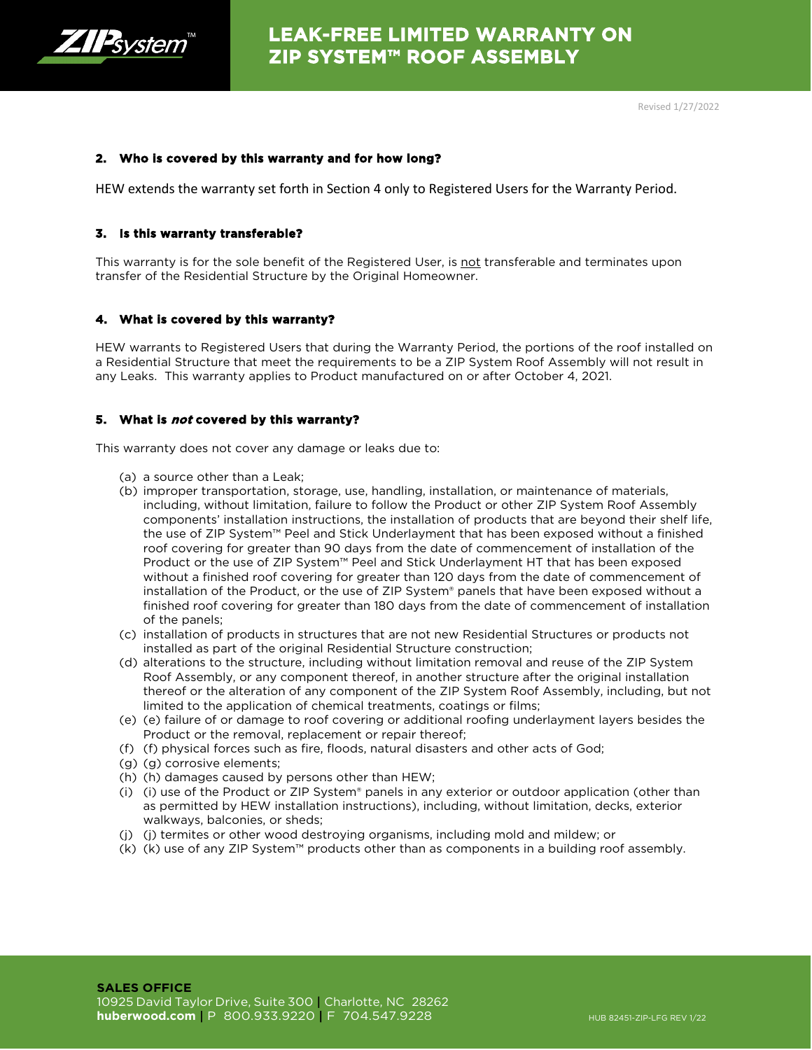

### **2. Who is covered by this warranty and for how long?**

HEW extends the warranty set forth in Section 4 only to Registered Users for the Warranty Period.

### **3. Is this warranty transferable?**

This warranty is for the sole benefit of the Registered User, is not transferable and terminates upon transfer of the Residential Structure by the Original Homeowner.

### **4. What is covered by this warranty?**

HEW warrants to Registered Users that during the Warranty Period, the portions of the roof installed on a Residential Structure that meet the requirements to be a ZIP System Roof Assembly will not result in any Leaks. This warranty applies to Product manufactured on or after October 4, 2021.

### **5. What is not covered by this warranty?**

This warranty does not cover any damage or leaks due to:

- (a) a source other than a Leak;
- (b) improper transportation, storage, use, handling, installation, or maintenance of materials, including, without limitation, failure to follow the Product or other ZIP System Roof Assembly components' installation instructions, the installation of products that are beyond their shelf life, the use of ZIP System™ Peel and Stick Underlayment that has been exposed without a finished roof covering for greater than 90 days from the date of commencement of installation of the Product or the use of ZIP System™ Peel and Stick Underlayment HT that has been exposed without a finished roof covering for greater than 120 days from the date of commencement of installation of the Product, or the use of ZIP System® panels that have been exposed without a finished roof covering for greater than 180 days from the date of commencement of installation of the panels;
- (c) installation of products in structures that are not new Residential Structures or products not installed as part of the original Residential Structure construction;
- (d) alterations to the structure, including without limitation removal and reuse of the ZIP System Roof Assembly, or any component thereof, in another structure after the original installation thereof or the alteration of any component of the ZIP System Roof Assembly, including, but not limited to the application of chemical treatments, coatings or films;
- (e) (e) failure of or damage to roof covering or additional roofing underlayment layers besides the Product or the removal, replacement or repair thereof;
- (f) (f) physical forces such as fire, floods, natural disasters and other acts of God;
- (g) (g) corrosive elements;
- (h) (h) damages caused by persons other than HEW;
- (i) (i) use of the Product or ZIP System® panels in any exterior or outdoor application (other than as permitted by HEW installation instructions), including, without limitation, decks, exterior walkways, balconies, or sheds;
- (j) (j) termites or other wood destroying organisms, including mold and mildew; or
- $(k)$  (k) use of any ZIP System<sup>™</sup> products other than as components in a building roof assembly.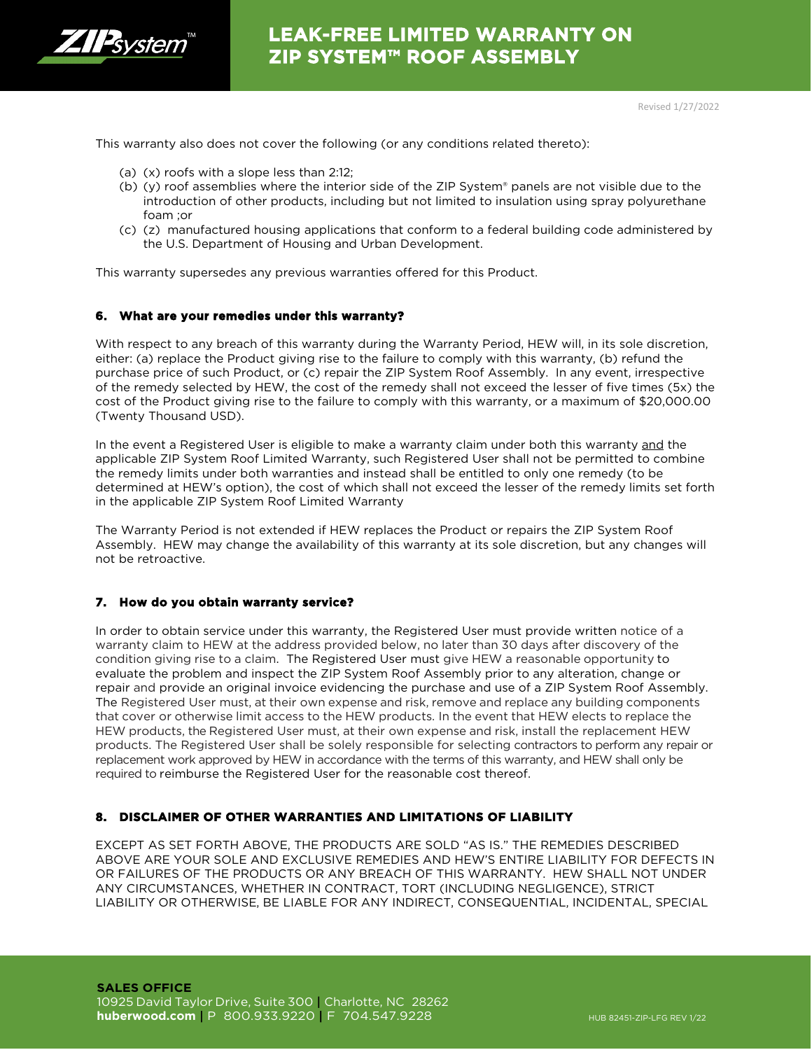

# **LEAK-FREE LIMITED WARRANTY ON ZIP SYSTEM™ ROOF ASSEMBLY**

This warranty also does not cover the following (or any conditions related thereto):

- (a) (x) roofs with a slope less than 2:12;
- (b) (y) roof assemblies where the interior side of the ZIP System® panels are not visible due to the introduction of other products, including but not limited to insulation using spray polyurethane foam ;or
- (c) (z) manufactured housing applications that conform to a federal building code administered by the U.S. Department of Housing and Urban Development.

This warranty supersedes any previous warranties offered for this Product.

#### **6. What are your remedies under this warranty?**

With respect to any breach of this warranty during the Warranty Period, HEW will, in its sole discretion, either: (a) replace the Product giving rise to the failure to comply with this warranty, (b) refund the purchase price of such Product, or (c) repair the ZIP System Roof Assembly. In any event, irrespective of the remedy selected by HEW, the cost of the remedy shall not exceed the lesser of five times (5x) the cost of the Product giving rise to the failure to comply with this warranty, or a maximum of \$20,000.00 (Twenty Thousand USD).

In the event a Registered User is eligible to make a warranty claim under both this warranty and the applicable ZIP System Roof Limited Warranty, such Registered User shall not be permitted to combine the remedy limits under both warranties and instead shall be entitled to only one remedy (to be determined at HEW's option), the cost of which shall not exceed the lesser of the remedy limits set forth in the applicable ZIP System Roof Limited Warranty

The Warranty Period is not extended if HEW replaces the Product or repairs the ZIP System Roof Assembly. HEW may change the availability of this warranty at its sole discretion, but any changes will not be retroactive.

#### **7. How do you obtain warranty service?**

In order to obtain service under this warranty, the Registered User must provide written notice of a warranty claim to HEW at the address provided below, no later than 30 days after discovery of the condition giving rise to a claim. The Registered User must give HEW a reasonable opportunity to evaluate the problem and inspect the ZIP System Roof Assembly prior to any alteration, change or repair and provide an original invoice evidencing the purchase and use of a ZIP System Roof Assembly. The Registered User must, at their own expense and risk, remove and replace any building components that cover or otherwise limit access to the HEW products. In the event that HEW elects to replace the HEW products, the Registered User must, at their own expense and risk, install the replacement HEW products. The Registered User shall be solely responsible for selecting contractors to perform any repair or replacement work approved by HEW in accordance with the terms of this warranty, and HEW shall only be required to reimburse the Registered User for the reasonable cost thereof.

### **8. DISCLAIMER OF OTHER WARRANTIES AND LIMITATIONS OF LIABILITY**

EXCEPT AS SET FORTH ABOVE, THE PRODUCTS ARE SOLD "AS IS." THE REMEDIES DESCRIBED ABOVE ARE YOUR SOLE AND EXCLUSIVE REMEDIES AND HEW'S ENTIRE LIABILITY FOR DEFECTS IN OR FAILURES OF THE PRODUCTS OR ANY BREACH OF THIS WARRANTY. HEW SHALL NOT UNDER ANY CIRCUMSTANCES, WHETHER IN CONTRACT, TORT (INCLUDING NEGLIGENCE), STRICT LIABILITY OR OTHERWISE, BE LIABLE FOR ANY INDIRECT, CONSEQUENTIAL, INCIDENTAL, SPECIAL